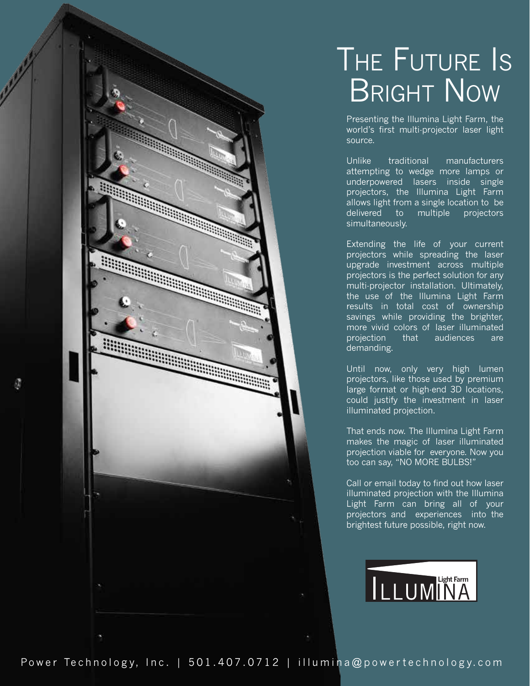## THE FUTURE IS BRIGHT NOW

Presenting the Illumina Light Farm, the world's first multi-projector laser light source.

Unlike traditional manufacturers attempting to wedge more lamps or underpowered lasers inside single projectors, the Illumina Light Farm allows light from a single location to be delivered to multiple projectors simultaneously.

Extending the life of your current projectors while spreading the laser upgrade investment across multiple projectors is the perfect solution for any multi-projector installation. Ultimately, the use of the Illumina Light Farm results in total cost of ownership savings while providing the brighter, more vivid colors of laser illuminated projection that audiences are demanding.

Until now, only very high lumen projectors, like those used by premium large format or high-end 3D locations, could justify the investment in laser illuminated projection.

That ends now. The Illumina Light Farm makes the magic of laser illuminated projection viable for everyone. Now you too can say, "NO MORE BULBS!"

Call or email today to find out how laser illuminated projection with the Illumina Light Farm can bring all of your projectors and experiences into the brightest future possible, right now.



**The Contract of the Contract of the Contract of the Contract of The Contract of The Contract of The Contract of The Contract of The Contract of The Contract of The Contract of The Contract of The Contract of The Contract** 

and the contract of the contract of

**Service**